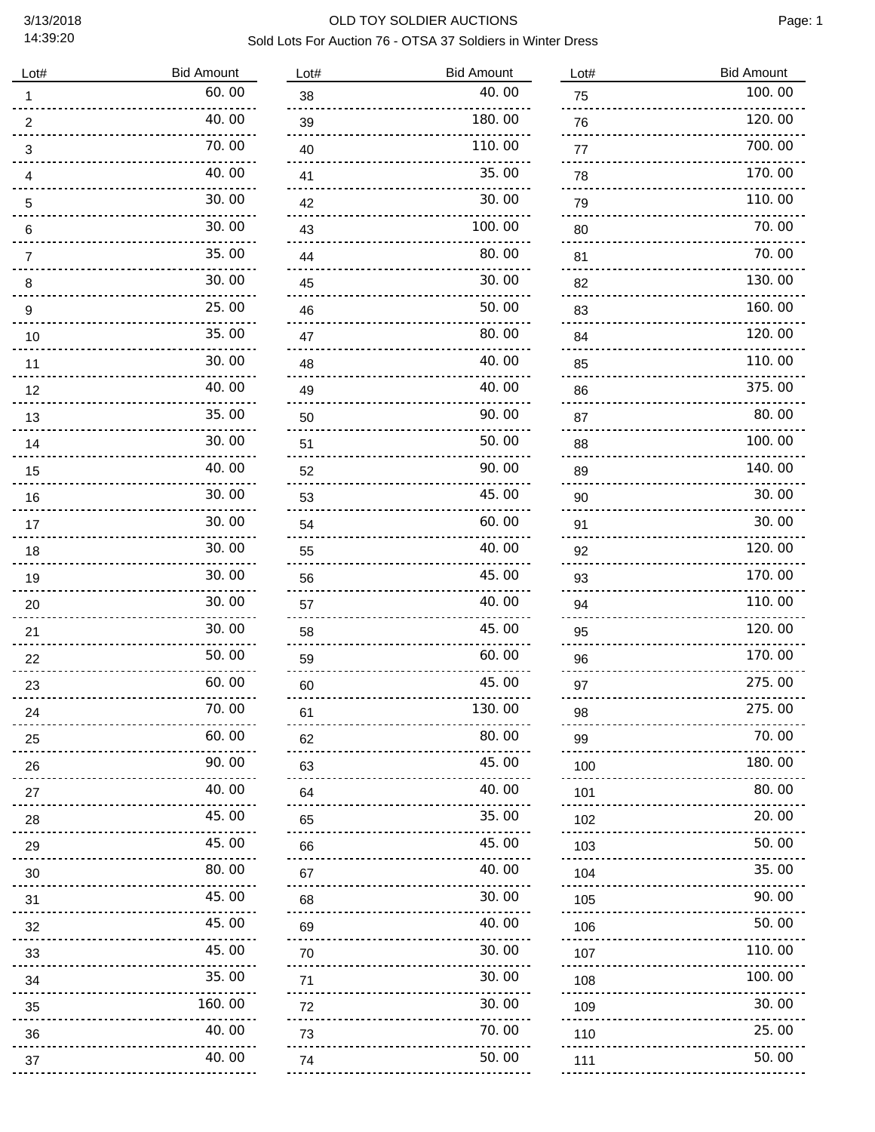| Lot#                    | <b>Bid Amount</b>       |
|-------------------------|-------------------------|
| 1                       | 60.00                   |
| $\overline{\mathbf{c}}$ | 40.00                   |
| 3                       | 70.00                   |
| 4                       | 40.00                   |
|                         | 30.00                   |
| 5                       |                         |
| 6                       | 30.00                   |
| 7                       | 35.00                   |
| 8                       | 30.00                   |
| 9                       | 25.00                   |
| 10                      | 35.00                   |
| 11                      | 30.00                   |
| 12                      | 40.00                   |
| 13                      | 35.00                   |
|                         | 30.00                   |
| 14                      |                         |
| 15                      | 40.00                   |
| 16                      | 30.00                   |
| 17                      | 30.00                   |
| 18                      | 30.00                   |
| 19                      | 30.00                   |
| 20                      | 30.00                   |
| 21                      | 30.00                   |
| 22                      | 50.00                   |
|                         | 60.00                   |
| 23                      |                         |
| 24                      | 70.00                   |
| 25                      | 60.00                   |
| 26                      | 90.00                   |
| 27                      | 40.00                   |
| 28                      | 45.00<br><u>.</u>       |
| 29                      | 45.00                   |
| 30                      | 80.00                   |
| 31                      | <u>.</u><br>45.00       |
| 32                      | 45.00                   |
|                         | <u>Liberal</u><br>45.00 |
| 33                      | 35.00                   |
| 34                      |                         |
| 35                      | 160.00                  |
| 36                      | 40.00                   |
| 37                      | 40.00                   |
|                         |                         |

| Lot#                  | <b>Bid Amount</b> |
|-----------------------|-------------------|
| 38                    | 40.00             |
| 39                    | 180.00            |
| 40                    | 110.00            |
| 41                    | 35.00             |
| 42                    | 30.00             |
| 43                    | 100.00            |
| 44                    | 80.00             |
| 45                    | 30.00             |
| 46                    | 50.00             |
| 47                    | 80.00             |
| 48                    | 40.00             |
| 49                    | 40.00             |
| 50                    | 90.00             |
| 51                    | 50.00             |
| 52                    | 90.00             |
| 53                    | 45.00             |
| 54                    | 60.00             |
| 55                    | 40.00             |
| 56                    | 45.00             |
| 57                    | 40.00             |
| 58                    | 45.00             |
| 59                    | 60.00             |
| 60                    | 45.00             |
| 61                    | 130. 00           |
| 62                    | 80.00             |
| 63<br>.               | 45.00             |
| 64<br>.               | 40.00             |
| 65<br><u></u>         | 35.00             |
| 66<br>                | 45.00             |
| 67<br>.               | 40.00             |
| 68<br>.               | 30.00             |
| 69<br><u>.</u>        | 40.00             |
| 70<br>$- - - - - - -$ | 30.00             |
| 71                    | 30.00             |
| 72<br><u></u> .       | 30.00             |
| 73<br>بالمحامي        | 70. 00            |
| 74<br>.               | 50.00             |

| Lot#             | <b>Bid Amount</b> |
|------------------|-------------------|
| 75               | 100.00            |
| 76               | 120.00            |
| 77               | 700.00            |
| 78               | 170.00            |
| 79               | 110.00            |
| 80               | 70.00             |
| 81               | 70.00             |
| 82               | 130.00            |
| 83               | 160.00            |
| 84               | 120.00            |
| 85               | 110.00            |
| 86               | 375.00            |
| 87               | 80.00             |
| 88               | 100.00            |
| 89               | 140.00            |
| 90               | 30.00             |
| 91               | 30.00             |
| 92               | 120.00            |
| 93               | 170.00            |
| 94               | 110.00            |
| 95               | 120.00            |
| 96               | 170.00            |
| 97               | 275.00            |
| 98<br>.          | 275.00            |
| 99<br>.          | 70.00             |
| 100<br>          | 180.00            |
| 101<br><u>.</u>  | 80.00             |
| 102<br>.         | 20.00             |
| 103<br>.         | 50.00             |
| 104<br>          | 35.00             |
| 105<br>          | 90.00             |
| 106<br>.         | 50.00             |
| 107<br>.         | 110.00            |
| 108<br>.         | 100.00            |
| 109<br><u></u> . | 30.00             |
| 110<br><u></u> . | 25.00             |
| 111              | 50.00             |
|                  |                   |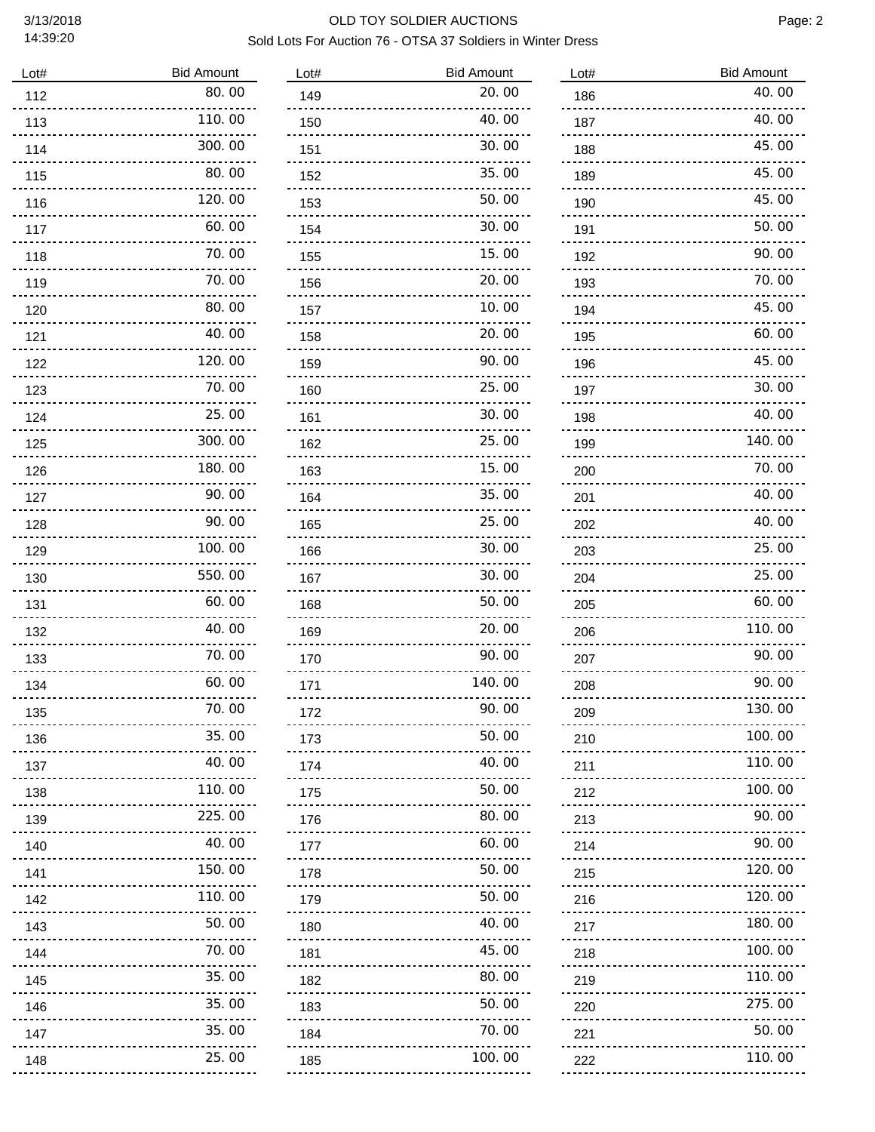## 3/13/2018 OLD TOY SOLDIER AUCTIONS Sold Lots For Auction 76 - OTSA 37 Soldiers in Winter Dress

| Lot#                  | <b>Bid Amount</b> |
|-----------------------|-------------------|
| 112                   | 80.00             |
| 113                   | 110.00            |
| 114                   | 300.00            |
| 115                   | 80. 00            |
| 116                   | 120.00            |
| 117                   | 60.00             |
| 118                   | 70.00             |
| 119                   | 70.00             |
| 120                   | 80.00             |
| 121                   | 40.00             |
| 122                   | 120.00            |
| 123                   | 70.00             |
| 124                   | 25.00             |
| 125                   | 300.00            |
| 126                   | 180.00            |
| 127                   | 90.00             |
| 128                   | 90.00             |
| 129                   | 100.00            |
| 130                   | 550.00            |
| 131                   | 60. 00            |
| 132                   | 40.00             |
| 133                   | 70.00             |
| 134                   | 60.00             |
| 135                   | 70.00             |
| 136<br>$    -$        | 35.00             |
| 137<br>.              | 40.00             |
| 138<br>$- - - - - -$  | 110.00            |
| 139<br>.              | 225.00            |
| 140<br>.              | 40.00             |
| 141<br><u>.</u>       | 150.00            |
| 142                   | 110.00            |
| 143                   | 50.00             |
| 144<br>               | 70.00             |
| 145                   | 35.00             |
| 146                   | 35.00             |
| 147<br><u>Liberal</u> | 35.00             |
| 148                   | 25.00<br>         |

| Lot#                            | <b>Bid Amount</b> |
|---------------------------------|-------------------|
| 149                             | 20.00             |
| 150                             | 40.00             |
| 151                             | 30.00             |
| 152                             | 35.00             |
| 153                             | 50.00             |
| 154                             | 30.00             |
| 155                             | 15.00             |
| 156                             | 20.00             |
| 157                             | 10.00             |
| 158                             | 20.<br>00         |
| 159                             | 90.00             |
| 160                             | 25.00             |
| 161                             | 30.00             |
| 162                             | 25.00             |
| 163                             | 15.00             |
| 164                             | 35.00             |
| 165                             | 25.00             |
| 166                             | 30.00             |
| 167                             | 30.00             |
| 168                             | 50.00             |
| 169                             | 20.00             |
| 170                             | 90. 00            |
| 171                             | 140.00            |
| 172                             | 90.00             |
| 173<br>                         | 50.00             |
| 174<br>.                        | 40.00             |
| 175<br>.                        | 50.00             |
| 176<br>.                        | 80.00             |
| 177<br>                         | 60.00             |
| 178<br><u>----------------</u>  | 50.00             |
| 179                             | 50.00             |
| <br>180<br><u>-------------</u> | 40.00             |
| 181<br>                         | 45.00             |
| 182<br><u>--------------</u>    | 80.00             |
| 183<br>.                        | 50.00             |
| 184<br>.                        | 70.00             |
| 185<br>                         | 100.00            |
|                                 |                   |

| Lot#                            | <b>Bid Amount</b> |
|---------------------------------|-------------------|
| 186                             | 40.00             |
| 187                             | 40.00             |
| 188                             | 45.00             |
| 189                             | 45.00             |
| 190                             | 45.00             |
| 191                             | 50.00             |
| 192                             | 90.00             |
| 193                             | 70.00             |
| 194                             | 45.00             |
| 195                             | 60.00             |
| 196                             | 45.00             |
| 197                             | 30.00             |
| 198                             | 40.00             |
| 199                             | 140.00            |
| 200                             | 70.00             |
| 201                             | 40.00             |
| 202                             | 40.00             |
| 203                             | 25.00             |
| 204                             | 25.00             |
| 205                             | 60.00             |
| 206                             | 110.00            |
| 207                             | 90.00             |
| 208                             | 90.00             |
| 209                             | 130.00            |
| 210<br>                         | 100.00            |
| 211<br>.                        | 110.00            |
| 212                             | 100.00            |
| 213                             | 90.00             |
| 214                             | 90.00             |
| 215<br><u>---------------</u> - | 120.00            |
| 216<br><u>.</u>                 | 120.00            |
| 217<br>.                        | 180.00            |
| 218<br><u>.</u> .               | 100.00            |
| 219<br>$- - - - - - -$          | 110.00            |
| 220                             | 275.00            |
| 221                             | 50.00             |
| 222                             | 110.00            |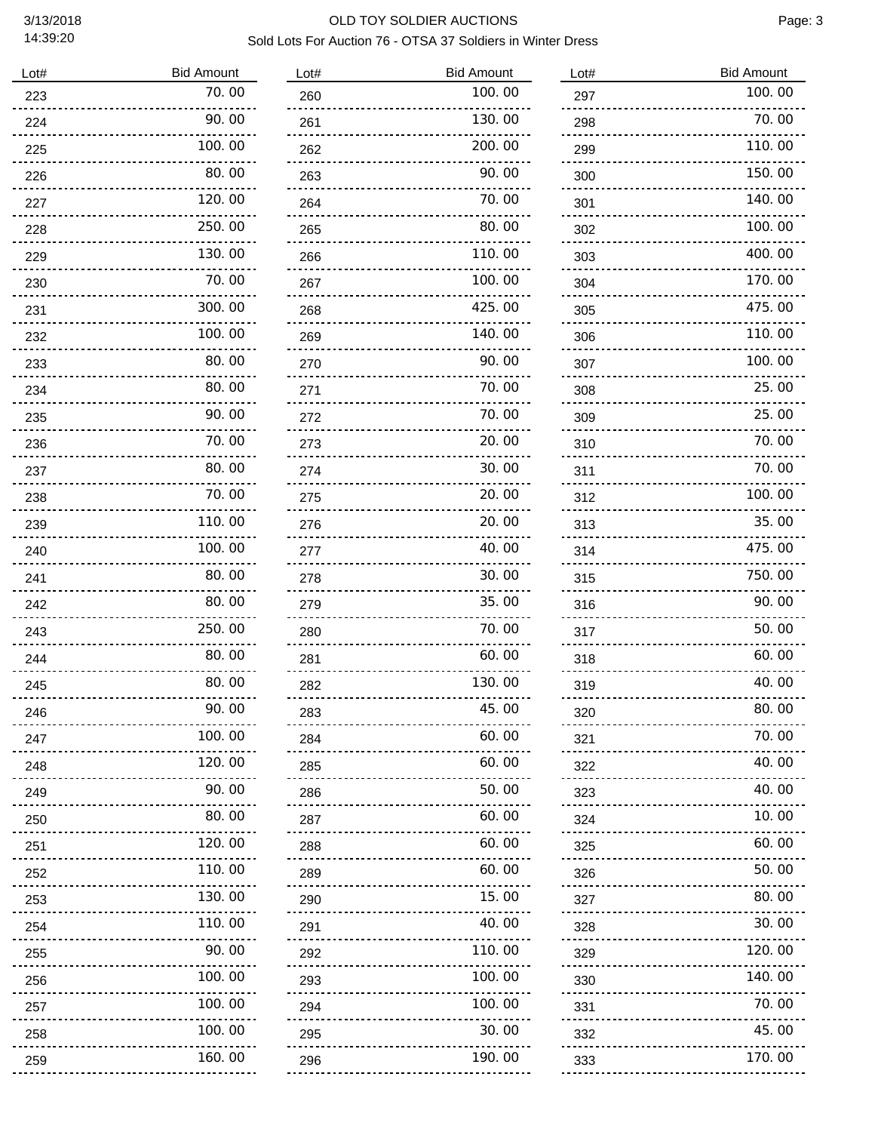## 3/13/2018 OLD TOY SOLDIER AUCTIONS Sold Lots For Auction 76 - OTSA 37 Soldiers in Winter Dress

| Lot#                              | <b>Bid Amount</b> |
|-----------------------------------|-------------------|
| 223                               | 70.00             |
| 224                               | 90.00             |
| 225                               | 100.00            |
| 226                               | 80.00             |
| 227                               | 120.00            |
| 228                               | 250.00            |
| 229                               | 130.00            |
| 230                               | 70.00             |
| 231                               | 300.00            |
| 232                               | 100.00            |
| 233                               | 80.00             |
| 234                               | 80.00             |
| 235                               | 90.00             |
| 236                               | 70.00             |
| 237                               | 80.00             |
| 238                               | 70.00             |
| 239                               | 110.00            |
| 240                               | 100.00            |
| 241                               | 80.00             |
| 242                               | 80.00             |
| 243                               | 250.00            |
| 244                               | 80.00             |
| 245                               | 80.00             |
| 246                               | 90.00             |
| 247                               | 100.00            |
| 248                               | 120.00            |
| 249                               | 90.00             |
| 250                               | 80.00             |
| 251                               | 120.00            |
| 252<br><u>odobo</u> s<br><u>.</u> | 110.00            |
| 253                               | 130.00            |
| 254                               | 110.00            |
| 255                               | 90.00             |
| 256                               | 100.00            |
| 257                               | 100.00            |
| 258                               | 100.00            |
| 259                               | 160.00            |
|                                   |                   |

| Lot#                 | <b>Bid Amount</b> |
|----------------------|-------------------|
| 260                  | 100.00            |
| 261                  | 130.00            |
| 262                  | 200.00            |
| 263                  | 90.00             |
| 264                  | 70.00             |
| 265                  | 80. 00            |
| 266                  | 110.00            |
| 267                  | 100.00            |
| 268                  | 425.00            |
| 269                  | 140.00            |
| 270                  | 90.00             |
| 271                  | 70.<br>00         |
| 272                  | 70.00             |
| 273                  | 20.00             |
| 274                  | 30.00             |
| 275                  | 20.00             |
| 276                  | 20.00             |
| 277                  | 40.00             |
| 278                  | 30.00             |
| 279                  | 35.00             |
| 280                  | 70.00             |
| 281                  | 60.00             |
| 282                  | 130.00            |
| 283                  | 45.00             |
| 284                  | 60.00             |
| 285<br>.             | 60.00             |
| 286<br>.             | 50.00             |
| 287<br>$\frac{1}{2}$ | 60.00             |
| 288<br><u>.</u>      | 60.00             |
| 289<br>.             | 60.00             |
| 290                  | 15.00<br>.        |
| 291                  | 40.00             |
| 292                  | 110.00            |
| 293                  | 100.00            |
| 294<br>.             | 100.00            |
| 295                  | 30.00             |
| 296<br><u>.</u>      | 190.00            |
|                      |                   |

| Lot#                     | <b>Bid Amount</b> |
|--------------------------|-------------------|
| 297                      | 100.00            |
| 298                      | 70.00             |
| 299                      | 110.00            |
| 300                      | 150.00            |
| 301                      | 140.00            |
| 302                      | 100.00            |
| 303                      | 400.00            |
| 304                      | 170.00            |
| 305                      | 475.00            |
| 306                      | 110.00            |
| 307                      | 100.00            |
| 308                      | 25.00             |
| 309                      | 25.00             |
| 310                      | 70.<br>00         |
| 311                      | 70. 00            |
| 312                      | 100.00            |
| 313                      | 35.00             |
| 314                      | 475.00            |
| 315                      | 750.00            |
| 316                      | 90. 00            |
| 317                      | 50.00             |
| 318                      | 60.<br>00         |
| 319                      | 40.00             |
| 320<br>.                 | 80. UU            |
| 321<br><u>.</u>          | 70.00             |
| 322<br><u>.</u>          | 40.00             |
| 323<br>$- - - - - - - -$ | 40.00             |
| 324<br>.                 | 10.00             |
| 325<br>                  | 60.00             |
| 326<br>                  | 50.00             |
| 327<br>.                 | 80.00             |
| 328<br>.                 | 30.00             |
| 329<br>.                 | 120.00            |
| 330<br><u>.</u>          | 140.00            |
| 331<br>.                 | 70.00             |
| 332<br><u>odobodo</u> u  | 45.00             |
| 333                      | 170.00            |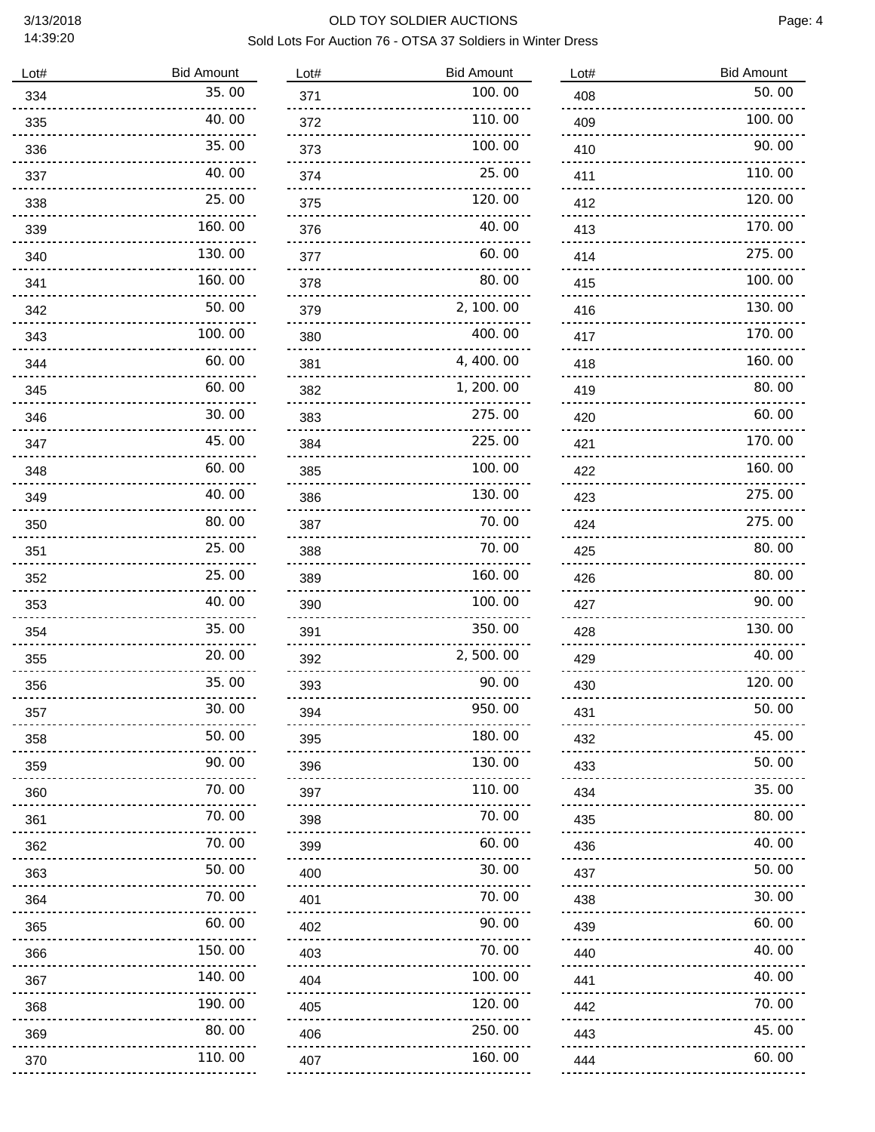| Lot# | <b>Bid Amount</b> |
|------|-------------------|
| 334  | 35.00             |
| 335  | 40.00             |
| 336  | 35.00             |
| 337  | 40.00             |
| 338  | 25.00             |
| 339  | 160.00            |
| 340  | 130.00            |
| 341  | 160.00            |
| 342  | 50.00             |
| 343  | 100.00            |
| 344  | 60.00             |
| 345  | 60.00             |
| 346  | 30.00             |
| 347  | 45.00             |
| 348  | 60.00             |
| 349  | 40.00             |
| 350  | 80.00             |
| 351  | 25.00             |
| 352  | 25.00             |
| 353  | 40.00             |
| 354  | 35.00             |
| 355  | 20.00             |
| 356  | 35.00             |
| 357  | 30.00             |
| 358  | 50.00             |
| 359  | 90.00             |
| 360  | 70.00             |
| 361  | 70.00             |
| 362  | 70.00             |
| 363  | 50.00             |
| 364  | 70.00             |
| 365  | 60.00             |
| 366  | 150.00            |
| 367  | 140.00            |
| 368  | 190.00            |
| 369  | 80.00             |
| 370  | 110.00            |
|      |                   |

| 100.00<br>371<br>110.00<br>372<br>100.00<br>373<br>25.00<br>374<br>120.00<br>375<br>40.00<br>376<br>60.00<br>377<br>80. 00<br>378<br>2, 100.00<br>379<br>400.00<br>380<br>4,400.00<br>381<br>1,<br>200.<br>00<br>382<br>275.00<br>383<br>225.00<br>384<br>100.00<br>385<br>130.00<br>386<br>70.00<br>387<br>70.00<br>388<br>160.00<br>389<br>100. 00<br>390 |  |
|-------------------------------------------------------------------------------------------------------------------------------------------------------------------------------------------------------------------------------------------------------------------------------------------------------------------------------------------------------------|--|
|                                                                                                                                                                                                                                                                                                                                                             |  |
|                                                                                                                                                                                                                                                                                                                                                             |  |
|                                                                                                                                                                                                                                                                                                                                                             |  |
|                                                                                                                                                                                                                                                                                                                                                             |  |
|                                                                                                                                                                                                                                                                                                                                                             |  |
|                                                                                                                                                                                                                                                                                                                                                             |  |
|                                                                                                                                                                                                                                                                                                                                                             |  |
|                                                                                                                                                                                                                                                                                                                                                             |  |
|                                                                                                                                                                                                                                                                                                                                                             |  |
|                                                                                                                                                                                                                                                                                                                                                             |  |
|                                                                                                                                                                                                                                                                                                                                                             |  |
|                                                                                                                                                                                                                                                                                                                                                             |  |
|                                                                                                                                                                                                                                                                                                                                                             |  |
|                                                                                                                                                                                                                                                                                                                                                             |  |
|                                                                                                                                                                                                                                                                                                                                                             |  |
|                                                                                                                                                                                                                                                                                                                                                             |  |
|                                                                                                                                                                                                                                                                                                                                                             |  |
|                                                                                                                                                                                                                                                                                                                                                             |  |
|                                                                                                                                                                                                                                                                                                                                                             |  |
|                                                                                                                                                                                                                                                                                                                                                             |  |
| 350.00<br>391                                                                                                                                                                                                                                                                                                                                               |  |
| 2,500.<br>OO<br>392                                                                                                                                                                                                                                                                                                                                         |  |
| 90. OO<br>393                                                                                                                                                                                                                                                                                                                                               |  |
| 950.00<br>394                                                                                                                                                                                                                                                                                                                                               |  |
| 180.00<br>395                                                                                                                                                                                                                                                                                                                                               |  |
| 130.00<br>396                                                                                                                                                                                                                                                                                                                                               |  |
| 110.00<br>397                                                                                                                                                                                                                                                                                                                                               |  |
| 70. 00<br>398                                                                                                                                                                                                                                                                                                                                               |  |
| 60.00<br>399<br>.                                                                                                                                                                                                                                                                                                                                           |  |
| 30.00<br>400<br><u>.</u>                                                                                                                                                                                                                                                                                                                                    |  |
| 70.00<br>401<br><u>.</u>                                                                                                                                                                                                                                                                                                                                    |  |
| 90.00<br>402                                                                                                                                                                                                                                                                                                                                                |  |
| 70.00<br>403                                                                                                                                                                                                                                                                                                                                                |  |
| 100.00<br>404                                                                                                                                                                                                                                                                                                                                               |  |
| 120.00<br>405                                                                                                                                                                                                                                                                                                                                               |  |
| 250.<br>00<br>406                                                                                                                                                                                                                                                                                                                                           |  |
| 160. 00<br>407<br>.                                                                                                                                                                                                                                                                                                                                         |  |

| Lot#                  | <b>Bid Amount</b> |
|-----------------------|-------------------|
| 408                   | 50.00             |
| 409                   | 100.00            |
| 410                   | 90.00             |
| 411                   | 110.00            |
| 412                   | 120.00            |
| 413                   | 170.00            |
| 414                   | 275.00            |
| 415                   | 100.00            |
| 416                   | 130.00            |
| 417                   | 170.00            |
| 418                   | 160.00            |
| 419                   | 80.00             |
| 420                   | 60.00             |
| 421                   | 170.00            |
| 422                   | 160.00            |
| 423                   | 275.00            |
| 424                   | 275.00            |
| 425                   | 80.00             |
| 426                   | 80.00             |
| 427                   | 90.00             |
| 428                   | 130.00            |
| 429                   | 40.00             |
| 430                   | 120.00            |
| 431                   | 50.00             |
| 432                   | 45.00             |
| 433                   | 50.00             |
| 434                   | 35.00             |
| 435                   | 80.00             |
| 436                   | 40.00             |
| 437                   | 50.00             |
| 438                   | 30.00             |
| 439<br><u>.</u>       | 60.00             |
| 440<br>. . <b>.</b> . | 40.00             |
| 441                   | 40.00             |
| 442                   | 70.00             |
| 443                   | 45.00             |
| 444                   | 60.00             |